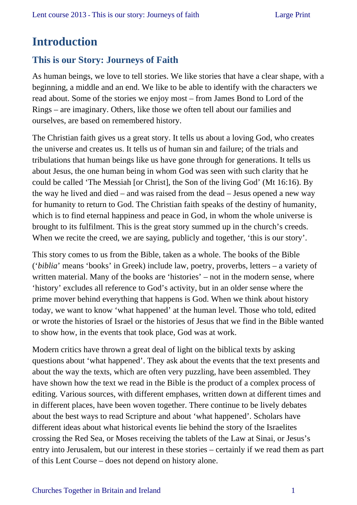### **Introduction**

### **This is our Story: Journeys of Faith**

As human beings, we love to tell stories. We like stories that have a clear shape, with a beginning, a middle and an end. We like to be able to identify with the characters we read about. Some of the stories we enjoy most – from James Bond to Lord of the Rings – are imaginary. Others, like those we often tell about our families and ourselves, are based on remembered history.

The Christian faith gives us a great story. It tells us about a loving God, who creates the universe and creates us. It tells us of human sin and failure; of the trials and tribulations that human beings like us have gone through for generations. It tells us about Jesus, the one human being in whom God was seen with such clarity that he could be called 'The Messiah [or Christ], the Son of the living God' (Mt 16:16). By the way he lived and died – and was raised from the dead – Jesus opened a new way for humanity to return to God. The Christian faith speaks of the destiny of humanity, which is to find eternal happiness and peace in God, in whom the whole universe is brought to its fulfilment. This is the great story summed up in the church's creeds. When we recite the creed, we are saying, publicly and together, 'this is our story'.

This story comes to us from the Bible, taken as a whole. The books of the Bible ('*biblia*' means 'books' in Greek) include law, poetry, proverbs, letters – a variety of written material. Many of the books are 'histories' – not in the modern sense, where 'history' excludes all reference to God's activity, but in an older sense where the prime mover behind everything that happens is God. When we think about history today, we want to know 'what happened' at the human level. Those who told, edited or wrote the histories of Israel or the histories of Jesus that we find in the Bible wanted to show how, in the events that took place, God was at work.

Modern critics have thrown a great deal of light on the biblical texts by asking questions about 'what happened'. They ask about the events that the text presents and about the way the texts, which are often very puzzling, have been assembled. They have shown how the text we read in the Bible is the product of a complex process of editing. Various sources, with different emphases, written down at different times and in different places, have been woven together. There continue to be lively debates about the best ways to read Scripture and about 'what happened'. Scholars have different ideas about what historical events lie behind the story of the Israelites crossing the Red Sea, or Moses receiving the tablets of the Law at Sinai, or Jesus's entry into Jerusalem, but our interest in these stories – certainly if we read them as part of this Lent Course – does not depend on history alone.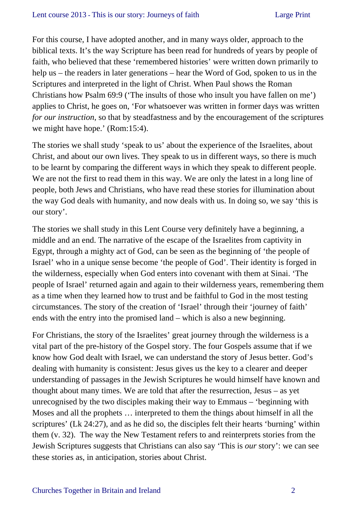For this course, I have adopted another, and in many ways older, approach to the biblical texts. It's the way Scripture has been read for hundreds of years by people of faith, who believed that these 'remembered histories' were written down primarily to help us – the readers in later generations – hear the Word of God, spoken to us in the Scriptures and interpreted in the light of Christ. When Paul shows the Roman Christians how Psalm 69:9 ('The insults of those who insult you have fallen on me') applies to Christ, he goes on, 'For whatsoever was written in former days was written *for our instruction*, so that by steadfastness and by the encouragement of the scriptures we might have hope.' (Rom:15:4).

The stories we shall study 'speak to us' about the experience of the Israelites, about Christ, and about our own lives. They speak to us in different ways, so there is much to be learnt by comparing the different ways in which they speak to different people. We are not the first to read them in this way. We are only the latest in a long line of people, both Jews and Christians, who have read these stories for illumination about the way God deals with humanity, and now deals with us. In doing so, we say 'this is our story'.

The stories we shall study in this Lent Course very definitely have a beginning, a middle and an end. The narrative of the escape of the Israelites from captivity in Egypt, through a mighty act of God, can be seen as the beginning of 'the people of Israel' who in a unique sense become 'the people of God'. Their identity is forged in the wilderness, especially when God enters into covenant with them at Sinai. 'The people of Israel' returned again and again to their wilderness years, remembering them as a time when they learned how to trust and be faithful to God in the most testing circumstances. The story of the creation of 'Israel' through their 'journey of faith' ends with the entry into the promised land – which is also a new beginning.

For Christians, the story of the Israelites' great journey through the wilderness is a vital part of the pre-history of the Gospel story. The four Gospels assume that if we know how God dealt with Israel, we can understand the story of Jesus better. God's dealing with humanity is consistent: Jesus gives us the key to a clearer and deeper understanding of passages in the Jewish Scriptures he would himself have known and thought about many times. We are told that after the resurrection, Jesus – as yet unrecognised by the two disciples making their way to Emmaus – 'beginning with Moses and all the prophets … interpreted to them the things about himself in all the scriptures' (Lk 24:27), and as he did so, the disciples felt their hearts 'burning' within them (v. 32). The way the New Testament refers to and reinterprets stories from the Jewish Scriptures suggests that Christians can also say 'This is *our* story': we can see these stories as, in anticipation, stories about Christ.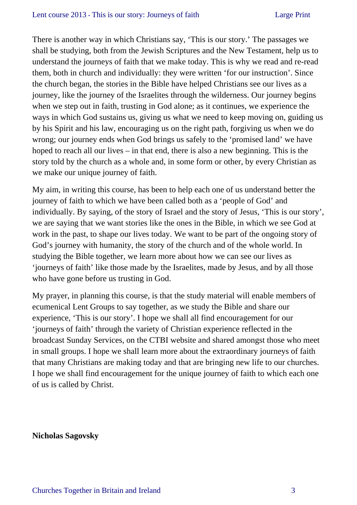#### Lent course 2013 **-** This is our story: Journeys of faith Large Print

There is another way in which Christians say, 'This is our story.' The passages we shall be studying, both from the Jewish Scriptures and the New Testament, help us to understand the journeys of faith that we make today. This is why we read and re-read them, both in church and individually: they were written 'for our instruction'. Since the church began, the stories in the Bible have helped Christians see our lives as a journey, like the journey of the Israelites through the wilderness. Our journey begins when we step out in faith, trusting in God alone; as it continues, we experience the ways in which God sustains us, giving us what we need to keep moving on, guiding us by his Spirit and his law, encouraging us on the right path, forgiving us when we do wrong; our journey ends when God brings us safely to the 'promised land' we have hoped to reach all our lives – in that end, there is also a new beginning. This is the story told by the church as a whole and, in some form or other, by every Christian as we make our unique journey of faith.

My aim, in writing this course, has been to help each one of us understand better the journey of faith to which we have been called both as a 'people of God' and individually. By saying, of the story of Israel and the story of Jesus, 'This is our story', we are saying that we want stories like the ones in the Bible, in which we see God at work in the past, to shape our lives today. We want to be part of the ongoing story of God's journey with humanity, the story of the church and of the whole world. In studying the Bible together, we learn more about how we can see our lives as 'journeys of faith' like those made by the Israelites, made by Jesus, and by all those who have gone before us trusting in God.

My prayer, in planning this course, is that the study material will enable members of ecumenical Lent Groups to say together, as we study the Bible and share our experience, 'This is our story'. I hope we shall all find encouragement for our 'journeys of faith' through the variety of Christian experience reflected in the broadcast Sunday Services, on the CTBI website and shared amongst those who meet in small groups. I hope we shall learn more about the extraordinary journeys of faith that many Christians are making today and that are bringing new life to our churches. I hope we shall find encouragement for the unique journey of faith to which each one of us is called by Christ.

#### **Nicholas Sagovsky**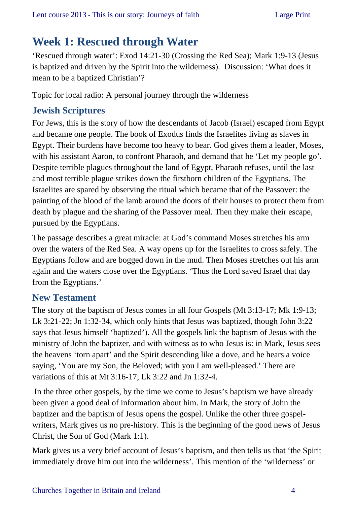# **Week 1: Rescued through Water**

'Rescued through water': Exod 14:21-30 (Crossing the Red Sea); Mark 1:9-13 (Jesus is baptized and driven by the Spirit into the wilderness). Discussion: 'What does it mean to be a baptized Christian'?

Topic for local radio: A personal journey through the wilderness

### **Jewish Scriptures**

For Jews, this is the story of how the descendants of Jacob (Israel) escaped from Egypt and became one people. The book of Exodus finds the Israelites living as slaves in Egypt. Their burdens have become too heavy to bear. God gives them a leader, Moses, with his assistant Aaron, to confront Pharaoh, and demand that he 'Let my people go'. Despite terrible plagues throughout the land of Egypt, Pharaoh refuses, until the last and most terrible plague strikes down the firstborn children of the Egyptians. The Israelites are spared by observing the ritual which became that of the Passover: the painting of the blood of the lamb around the doors of their houses to protect them from death by plague and the sharing of the Passover meal. Then they make their escape, pursued by the Egyptians.

The passage describes a great miracle: at God's command Moses stretches his arm over the waters of the Red Sea. A way opens up for the Israelites to cross safely. The Egyptians follow and are bogged down in the mud. Then Moses stretches out his arm again and the waters close over the Egyptians. 'Thus the Lord saved Israel that day from the Egyptians.'

### **New Testament**

The story of the baptism of Jesus comes in all four Gospels (Mt 3:13-17; Mk 1:9-13; Lk 3:21-22; Jn 1:32-34, which only hints that Jesus was baptized, though John 3:22 says that Jesus himself 'baptized'). All the gospels link the baptism of Jesus with the ministry of John the baptizer, and with witness as to who Jesus is: in Mark, Jesus sees the heavens 'torn apart' and the Spirit descending like a dove, and he hears a voice saying, 'You are my Son, the Beloved; with you I am well-pleased.' There are variations of this at Mt 3:16-17; Lk 3:22 and Jn 1:32-4.

 In the three other gospels, by the time we come to Jesus's baptism we have already been given a good deal of information about him. In Mark, the story of John the baptizer and the baptism of Jesus opens the gospel. Unlike the other three gospelwriters, Mark gives us no pre-history. This is the beginning of the good news of Jesus Christ, the Son of God (Mark 1:1).

Mark gives us a very brief account of Jesus's baptism, and then tells us that 'the Spirit immediately drove him out into the wilderness'. This mention of the 'wilderness' or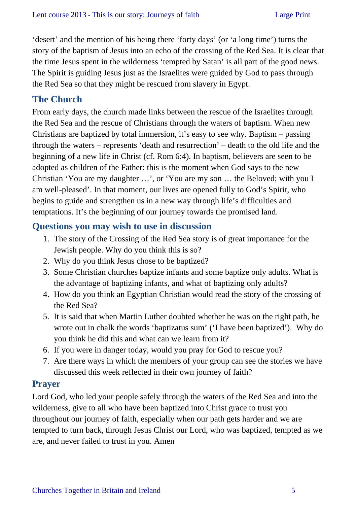'desert' and the mention of his being there 'forty days' (or 'a long time') turns the story of the baptism of Jesus into an echo of the crossing of the Red Sea. It is clear that the time Jesus spent in the wilderness 'tempted by Satan' is all part of the good news. The Spirit is guiding Jesus just as the Israelites were guided by God to pass through the Red Sea so that they might be rescued from slavery in Egypt.

### **The Church**

From early days, the church made links between the rescue of the Israelites through the Red Sea and the rescue of Christians through the waters of baptism. When new Christians are baptized by total immersion, it's easy to see why. Baptism – passing through the waters – represents 'death and resurrection' – death to the old life and the beginning of a new life in Christ (cf. Rom 6:4). In baptism, believers are seen to be adopted as children of the Father: this is the moment when God says to the new Christian 'You are my daughter …', or 'You are my son … the Beloved; with you I am well-pleased'. In that moment, our lives are opened fully to God's Spirit, who begins to guide and strengthen us in a new way through life's difficulties and temptations. It's the beginning of our journey towards the promised land.

### **Questions you may wish to use in discussion**

- 1. The story of the Crossing of the Red Sea story is of great importance for the Jewish people. Why do you think this is so?
- 2. Why do you think Jesus chose to be baptized?
- 3. Some Christian churches baptize infants and some baptize only adults. What is the advantage of baptizing infants, and what of baptizing only adults?
- 4. How do you think an Egyptian Christian would read the story of the crossing of the Red Sea?
- 5. It is said that when Martin Luther doubted whether he was on the right path, he wrote out in chalk the words 'baptizatus sum' ('I have been baptized'). Why do you think he did this and what can we learn from it?
- 6. If you were in danger today, would you pray for God to rescue you?
- 7. Are there ways in which the members of your group can see the stories we have discussed this week reflected in their own journey of faith?

### **Prayer**

Lord God, who led your people safely through the waters of the Red Sea and into the wilderness, give to all who have been baptized into Christ grace to trust you throughout our journey of faith, especially when our path gets harder and we are tempted to turn back, through Jesus Christ our Lord, who was baptized, tempted as we are, and never failed to trust in you. Amen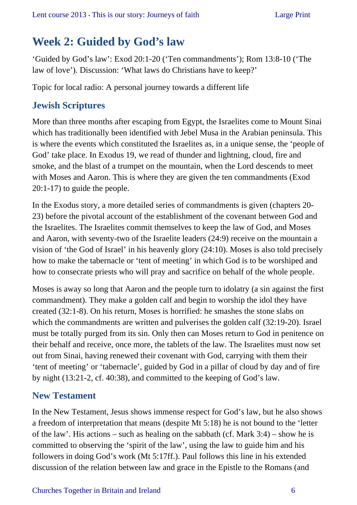# **Week 2: Guided by God's law**

'Guided by God's law': Exod 20:1-20 ('Ten commandments'); Rom 13:8-10 ('The law of love'). Discussion: 'What laws do Christians have to keep?'

Topic for local radio: A personal journey towards a different life

### **Jewish Scriptures**

More than three months after escaping from Egypt, the Israelites come to Mount Sinai which has traditionally been identified with Jebel Musa in the Arabian peninsula. This is where the events which constituted the Israelites as, in a unique sense, the 'people of God' take place. In Exodus 19, we read of thunder and lightning, cloud, fire and smoke, and the blast of a trumpet on the mountain, when the Lord descends to meet with Moses and Aaron. This is where they are given the ten commandments (Exod 20:1-17) to guide the people.

In the Exodus story, a more detailed series of commandments is given (chapters 20- 23) before the pivotal account of the establishment of the covenant between God and the Israelites. The Israelites commit themselves to keep the law of God, and Moses and Aaron, with seventy-two of the Israelite leaders (24:9) receive on the mountain a vision of 'the God of Israel' in his heavenly glory (24:10). Moses is also told precisely how to make the tabernacle or 'tent of meeting' in which God is to be worshiped and how to consecrate priests who will pray and sacrifice on behalf of the whole people.

Moses is away so long that Aaron and the people turn to idolatry (a sin against the first commandment). They make a golden calf and begin to worship the idol they have created (32:1-8). On his return, Moses is horrified: he smashes the stone slabs on which the commandments are written and pulverises the golden calf (32:19-20). Israel must be totally purged from its sin. Only then can Moses return to God in penitence on their behalf and receive, once more, the tablets of the law. The Israelites must now set out from Sinai, having renewed their covenant with God, carrying with them their 'tent of meeting' or 'tabernacle', guided by God in a pillar of cloud by day and of fire by night (13:21-2, cf. 40:38), and committed to the keeping of God's law.

### **New Testament**

In the New Testament, Jesus shows immense respect for God's law, but he also shows a freedom of interpretation that means (despite Mt 5:18) he is not bound to the 'letter of the law'. His actions – such as healing on the sabbath (cf. Mark 3:4) – show he is committed to observing the 'spirit of the law', using the law to guide him and his followers in doing God's work (Mt 5:17ff.). Paul follows this line in his extended discussion of the relation between law and grace in the Epistle to the Romans (and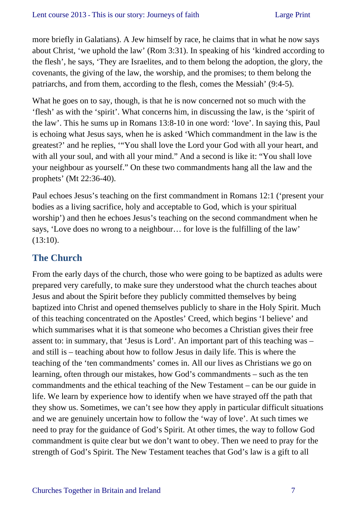more briefly in Galatians). A Jew himself by race, he claims that in what he now says about Christ, 'we uphold the law' (Rom 3:31). In speaking of his 'kindred according to the flesh', he says, 'They are Israelites, and to them belong the adoption, the glory, the covenants, the giving of the law, the worship, and the promises; to them belong the patriarchs, and from them, according to the flesh, comes the Messiah' (9:4-5).

What he goes on to say, though, is that he is now concerned not so much with the 'flesh' as with the 'spirit'. What concerns him, in discussing the law, is the 'spirit of the law'. This he sums up in Romans 13:8-10 in one word: 'love'. In saying this, Paul is echoing what Jesus says, when he is asked 'Which commandment in the law is the greatest?' and he replies, '"You shall love the Lord your God with all your heart, and with all your soul, and with all your mind." And a second is like it: "You shall love your neighbour as yourself." On these two commandments hang all the law and the prophets' (Mt 22:36-40).

Paul echoes Jesus's teaching on the first commandment in Romans 12:1 ('present your bodies as a living sacrifice, holy and acceptable to God, which is your spiritual worship') and then he echoes Jesus's teaching on the second commandment when he says, 'Love does no wrong to a neighbour… for love is the fulfilling of the law' (13:10).

### **The Church**

From the early days of the church, those who were going to be baptized as adults were prepared very carefully, to make sure they understood what the church teaches about Jesus and about the Spirit before they publicly committed themselves by being baptized into Christ and opened themselves publicly to share in the Holy Spirit. Much of this teaching concentrated on the Apostles' Creed, which begins 'I believe' and which summarises what it is that someone who becomes a Christian gives their free assent to: in summary, that 'Jesus is Lord'. An important part of this teaching was – and still is – teaching about how to follow Jesus in daily life. This is where the teaching of the 'ten commandments' comes in. All our lives as Christians we go on learning, often through our mistakes, how God's commandments – such as the ten commandments and the ethical teaching of the New Testament – can be our guide in life. We learn by experience how to identify when we have strayed off the path that they show us. Sometimes, we can't see how they apply in particular difficult situations and we are genuinely uncertain how to follow the 'way of love'. At such times we need to pray for the guidance of God's Spirit. At other times, the way to follow God commandment is quite clear but we don't want to obey. Then we need to pray for the strength of God's Spirit. The New Testament teaches that God's law is a gift to all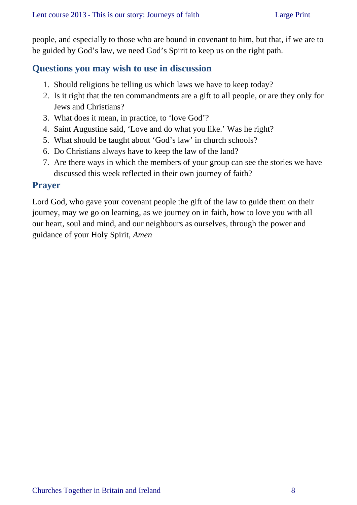people, and especially to those who are bound in covenant to him, but that, if we are to be guided by God's law, we need God's Spirit to keep us on the right path.

### **Questions you may wish to use in discussion**

- 1. Should religions be telling us which laws we have to keep today?
- 2. Is it right that the ten commandments are a gift to all people, or are they only for Jews and Christians?
- 3. What does it mean, in practice, to 'love God'?
- 4. Saint Augustine said, 'Love and do what you like.' Was he right?
- 5. What should be taught about 'God's law' in church schools?
- 6. Do Christians always have to keep the law of the land?
- 7. Are there ways in which the members of your group can see the stories we have discussed this week reflected in their own journey of faith?

#### **Prayer**

Lord God, who gave your covenant people the gift of the law to guide them on their journey, may we go on learning, as we journey on in faith, how to love you with all our heart, soul and mind, and our neighbours as ourselves, through the power and guidance of your Holy Spirit, *Amen*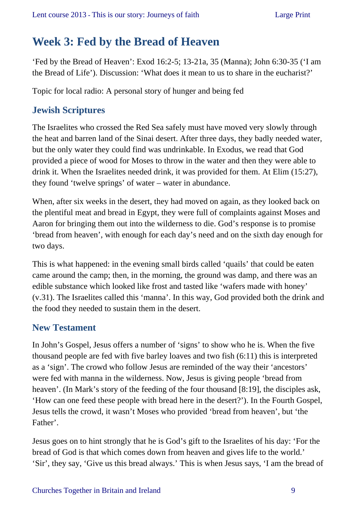# **Week 3: Fed by the Bread of Heaven**

'Fed by the Bread of Heaven': Exod 16:2-5; 13-21a, 35 (Manna); John 6:30-35 ('I am the Bread of Life'). Discussion: 'What does it mean to us to share in the eucharist?'

Topic for local radio: A personal story of hunger and being fed

### **Jewish Scriptures**

The Israelites who crossed the Red Sea safely must have moved very slowly through the heat and barren land of the Sinai desert. After three days, they badly needed water, but the only water they could find was undrinkable. In Exodus, we read that God provided a piece of wood for Moses to throw in the water and then they were able to drink it. When the Israelites needed drink, it was provided for them. At Elim (15:27), they found 'twelve springs' of water – water in abundance.

When, after six weeks in the desert, they had moved on again, as they looked back on the plentiful meat and bread in Egypt, they were full of complaints against Moses and Aaron for bringing them out into the wilderness to die. God's response is to promise 'bread from heaven', with enough for each day's need and on the sixth day enough for two days.

This is what happened: in the evening small birds called 'quails' that could be eaten came around the camp; then, in the morning, the ground was damp, and there was an edible substance which looked like frost and tasted like 'wafers made with honey' (v.31). The Israelites called this 'manna'. In this way, God provided both the drink and the food they needed to sustain them in the desert.

### **New Testament**

In John's Gospel, Jesus offers a number of 'signs' to show who he is. When the five thousand people are fed with five barley loaves and two fish (6:11) this is interpreted as a 'sign'. The crowd who follow Jesus are reminded of the way their 'ancestors' were fed with manna in the wilderness. Now, Jesus is giving people 'bread from heaven'. (In Mark's story of the feeding of the four thousand [8:19], the disciples ask, 'How can one feed these people with bread here in the desert?'). In the Fourth Gospel, Jesus tells the crowd, it wasn't Moses who provided 'bread from heaven', but 'the Father'.

Jesus goes on to hint strongly that he is God's gift to the Israelites of his day: 'For the bread of God is that which comes down from heaven and gives life to the world.' 'Sir', they say, 'Give us this bread always.' This is when Jesus says, 'I am the bread of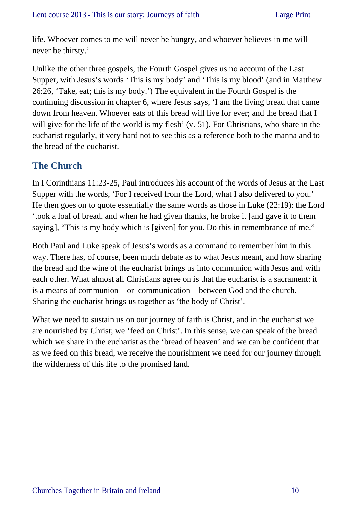life. Whoever comes to me will never be hungry, and whoever believes in me will never be thirsty.'

Unlike the other three gospels, the Fourth Gospel gives us no account of the Last Supper, with Jesus's words 'This is my body' and 'This is my blood' (and in Matthew 26:26, 'Take, eat; this is my body.') The equivalent in the Fourth Gospel is the continuing discussion in chapter 6, where Jesus says, 'I am the living bread that came down from heaven. Whoever eats of this bread will live for ever; and the bread that I will give for the life of the world is my flesh' (v. 51). For Christians, who share in the eucharist regularly, it very hard not to see this as a reference both to the manna and to the bread of the eucharist.

### **The Church**

In I Corinthians 11:23-25, Paul introduces his account of the words of Jesus at the Last Supper with the words, 'For I received from the Lord, what I also delivered to you.' He then goes on to quote essentially the same words as those in Luke (22:19): the Lord 'took a loaf of bread, and when he had given thanks, he broke it [and gave it to them saying], "This is my body which is [given] for you. Do this in remembrance of me."

Both Paul and Luke speak of Jesus's words as a command to remember him in this way. There has, of course, been much debate as to what Jesus meant, and how sharing the bread and the wine of the eucharist brings us into communion with Jesus and with each other. What almost all Christians agree on is that the eucharist is a sacrament: it is a means of communion – or communication – between God and the church. Sharing the eucharist brings us together as 'the body of Christ'.

What we need to sustain us on our journey of faith is Christ, and in the eucharist we are nourished by Christ; we 'feed on Christ'. In this sense, we can speak of the bread which we share in the eucharist as the 'bread of heaven' and we can be confident that as we feed on this bread, we receive the nourishment we need for our journey through the wilderness of this life to the promised land.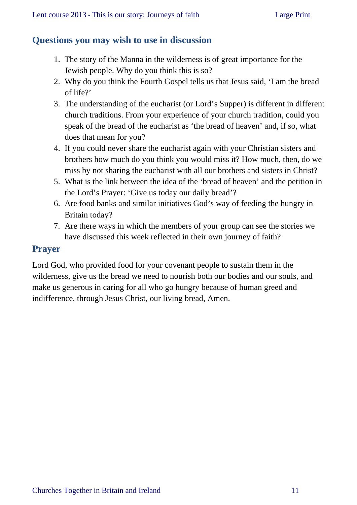### **Questions you may wish to use in discussion**

- 1. The story of the Manna in the wilderness is of great importance for the Jewish people. Why do you think this is so?
- 2. Why do you think the Fourth Gospel tells us that Jesus said, 'I am the bread of life?'
- 3. The understanding of the eucharist (or Lord's Supper) is different in different church traditions. From your experience of your church tradition, could you speak of the bread of the eucharist as 'the bread of heaven' and, if so, what does that mean for you?
- 4. If you could never share the eucharist again with your Christian sisters and brothers how much do you think you would miss it? How much, then, do we miss by not sharing the eucharist with all our brothers and sisters in Christ?
- 5. What is the link between the idea of the 'bread of heaven' and the petition in the Lord's Prayer: 'Give us today our daily bread'?
- 6. Are food banks and similar initiatives God's way of feeding the hungry in Britain today?
- 7. Are there ways in which the members of your group can see the stories we have discussed this week reflected in their own journey of faith?

### **Prayer**

Lord God, who provided food for your covenant people to sustain them in the wilderness, give us the bread we need to nourish both our bodies and our souls, and make us generous in caring for all who go hungry because of human greed and indifference, through Jesus Christ, our living bread, Amen.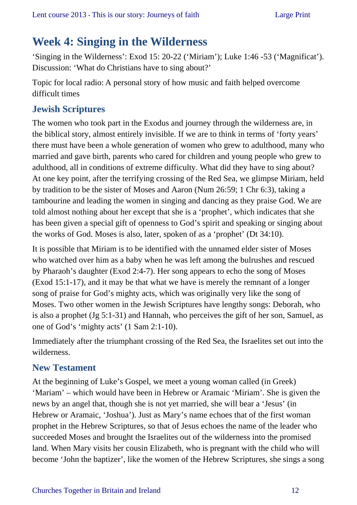### **Week 4: Singing in the Wilderness**

'Singing in the Wilderness': Exod 15: 20-22 ('Miriam'); Luke 1:46 -53 ('Magnificat'). Discussion: 'What do Christians have to sing about?'

Topic for local radio: A personal story of how music and faith helped overcome difficult times

### **Jewish Scriptures**

The women who took part in the Exodus and journey through the wilderness are, in the biblical story, almost entirely invisible. If we are to think in terms of 'forty years' there must have been a whole generation of women who grew to adulthood, many who married and gave birth, parents who cared for children and young people who grew to adulthood, all in conditions of extreme difficulty. What did they have to sing about? At one key point, after the terrifying crossing of the Red Sea, we glimpse Miriam, held by tradition to be the sister of Moses and Aaron (Num 26:59; 1 Chr 6:3), taking a tambourine and leading the women in singing and dancing as they praise God. We are told almost nothing about her except that she is a 'prophet', which indicates that she has been given a special gift of openness to God's spirit and speaking or singing about the works of God. Moses is also, later, spoken of as a 'prophet' (Dt 34:10).

It is possible that Miriam is to be identified with the unnamed elder sister of Moses who watched over him as a baby when he was left among the bulrushes and rescued by Pharaoh's daughter (Exod 2:4-7). Her song appears to echo the song of Moses (Exod 15:1-17), and it may be that what we have is merely the remnant of a longer song of praise for God's mighty acts, which was originally very like the song of Moses. Two other women in the Jewish Scriptures have lengthy songs: Deborah, who is also a prophet (Jg 5:1-31) and Hannah, who perceives the gift of her son, Samuel, as one of God's 'mighty acts' (1 Sam 2:1-10).

Immediately after the triumphant crossing of the Red Sea, the Israelites set out into the wilderness.

### **New Testament**

At the beginning of Luke's Gospel, we meet a young woman called (in Greek) 'Mariam' – which would have been in Hebrew or Aramaic 'Miriam'. She is given the news by an angel that, though she is not yet married, she will bear a 'Jesus' (in Hebrew or Aramaic, 'Joshua'). Just as Mary's name echoes that of the first woman prophet in the Hebrew Scriptures, so that of Jesus echoes the name of the leader who succeeded Moses and brought the Israelites out of the wilderness into the promised land. When Mary visits her cousin Elizabeth, who is pregnant with the child who will become 'John the baptizer', like the women of the Hebrew Scriptures, she sings a song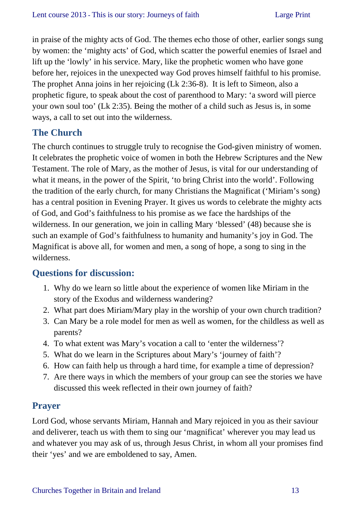in praise of the mighty acts of God. The themes echo those of other, earlier songs sung by women: the 'mighty acts' of God, which scatter the powerful enemies of Israel and lift up the 'lowly' in his service. Mary, like the prophetic women who have gone before her, rejoices in the unexpected way God proves himself faithful to his promise. The prophet Anna joins in her rejoicing (Lk 2:36-8). It is left to Simeon, also a prophetic figure, to speak about the cost of parenthood to Mary: 'a sword will pierce your own soul too' (Lk 2:35). Being the mother of a child such as Jesus is, in some ways, a call to set out into the wilderness.

### **The Church**

The church continues to struggle truly to recognise the God-given ministry of women. It celebrates the prophetic voice of women in both the Hebrew Scriptures and the New Testament. The role of Mary, as the mother of Jesus, is vital for our understanding of what it means, in the power of the Spirit, 'to bring Christ into the world'. Following the tradition of the early church, for many Christians the Magnificat ('Miriam's song) has a central position in Evening Prayer. It gives us words to celebrate the mighty acts of God, and God's faithfulness to his promise as we face the hardships of the wilderness. In our generation, we join in calling Mary 'blessed' (48) because she is such an example of God's faithfulness to humanity and humanity's joy in God. The Magnificat is above all, for women and men, a song of hope, a song to sing in the wilderness.

### **Questions for discussion:**

- 1. Why do we learn so little about the experience of women like Miriam in the story of the Exodus and wilderness wandering?
- 2. What part does Miriam/Mary play in the worship of your own church tradition?
- 3. Can Mary be a role model for men as well as women, for the childless as well as parents?
- 4. To what extent was Mary's vocation a call to 'enter the wilderness'?
- 5. What do we learn in the Scriptures about Mary's 'journey of faith'?
- 6. How can faith help us through a hard time, for example a time of depression?
- 7. Are there ways in which the members of your group can see the stories we have discussed this week reflected in their own journey of faith?

### **Prayer**

Lord God, whose servants Miriam, Hannah and Mary rejoiced in you as their saviour and deliverer, teach us with them to sing our 'magnificat' wherever you may lead us and whatever you may ask of us, through Jesus Christ, in whom all your promises find their 'yes' and we are emboldened to say, Amen.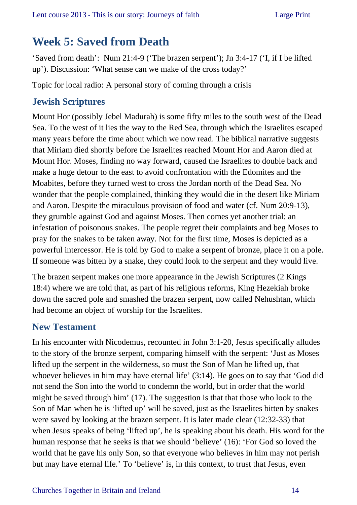# **Week 5: Saved from Death**

'Saved from death': Num 21:4-9 ('The brazen serpent'); Jn 3:4-17 ('I, if I be lifted up'). Discussion: 'What sense can we make of the cross today?'

Topic for local radio: A personal story of coming through a crisis

### **Jewish Scriptures**

Mount Hor (possibly Jebel Madurah) is some fifty miles to the south west of the Dead Sea. To the west of it lies the way to the Red Sea, through which the Israelites escaped many years before the time about which we now read. The biblical narrative suggests that Miriam died shortly before the Israelites reached Mount Hor and Aaron died at Mount Hor. Moses, finding no way forward, caused the Israelites to double back and make a huge detour to the east to avoid confrontation with the Edomites and the Moabites, before they turned west to cross the Jordan north of the Dead Sea. No wonder that the people complained, thinking they would die in the desert like Miriam and Aaron. Despite the miraculous provision of food and water (cf. Num 20:9-13), they grumble against God and against Moses. Then comes yet another trial: an infestation of poisonous snakes. The people regret their complaints and beg Moses to pray for the snakes to be taken away. Not for the first time, Moses is depicted as a powerful intercessor. He is told by God to make a serpent of bronze, place it on a pole. If someone was bitten by a snake, they could look to the serpent and they would live.

The brazen serpent makes one more appearance in the Jewish Scriptures (2 Kings 18:4) where we are told that, as part of his religious reforms, King Hezekiah broke down the sacred pole and smashed the brazen serpent, now called Nehushtan, which had become an object of worship for the Israelites.

### **New Testament**

In his encounter with Nicodemus, recounted in John 3:1-20, Jesus specifically alludes to the story of the bronze serpent, comparing himself with the serpent: 'Just as Moses lifted up the serpent in the wilderness, so must the Son of Man be lifted up, that whoever believes in him may have eternal life' (3:14). He goes on to say that 'God did not send the Son into the world to condemn the world, but in order that the world might be saved through him' (17). The suggestion is that that those who look to the Son of Man when he is 'lifted up' will be saved, just as the Israelites bitten by snakes were saved by looking at the brazen serpent. It is later made clear (12:32-33) that when Jesus speaks of being 'lifted up', he is speaking about his death. His word for the human response that he seeks is that we should 'believe' (16): 'For God so loved the world that he gave his only Son, so that everyone who believes in him may not perish but may have eternal life.' To 'believe' is, in this context, to trust that Jesus, even

#### Churches Together in Britain and Ireland 14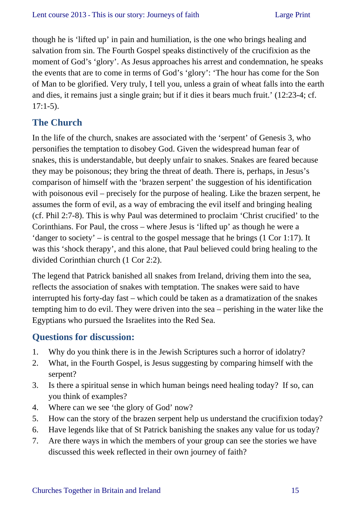though he is 'lifted up' in pain and humiliation, is the one who brings healing and salvation from sin. The Fourth Gospel speaks distinctively of the crucifixion as the moment of God's 'glory'. As Jesus approaches his arrest and condemnation, he speaks the events that are to come in terms of God's 'glory': 'The hour has come for the Son of Man to be glorified. Very truly, I tell you, unless a grain of wheat falls into the earth and dies, it remains just a single grain; but if it dies it bears much fruit.' (12:23-4; cf.  $17:1-5$ ).

### **The Church**

In the life of the church, snakes are associated with the 'serpent' of Genesis 3, who personifies the temptation to disobey God. Given the widespread human fear of snakes, this is understandable, but deeply unfair to snakes. Snakes are feared because they may be poisonous; they bring the threat of death. There is, perhaps, in Jesus's comparison of himself with the 'brazen serpent' the suggestion of his identification with poisonous evil – precisely for the purpose of healing. Like the brazen serpent, he assumes the form of evil, as a way of embracing the evil itself and bringing healing (cf. Phil 2:7-8). This is why Paul was determined to proclaim 'Christ crucified' to the Corinthians. For Paul, the cross – where Jesus is 'lifted up' as though he were a 'danger to society' – is central to the gospel message that he brings (1 Cor 1:17). It was this 'shock therapy', and this alone, that Paul believed could bring healing to the divided Corinthian church (1 Cor 2:2).

The legend that Patrick banished all snakes from Ireland, driving them into the sea, reflects the association of snakes with temptation. The snakes were said to have interrupted his forty-day fast – which could be taken as a dramatization of the snakes tempting him to do evil. They were driven into the sea – perishing in the water like the Egyptians who pursued the Israelites into the Red Sea.

### **Questions for discussion:**

- 1. Why do you think there is in the Jewish Scriptures such a horror of idolatry?
- 2. What, in the Fourth Gospel, is Jesus suggesting by comparing himself with the serpent?
- 3. Is there a spiritual sense in which human beings need healing today? If so, can you think of examples?
- 4. Where can we see 'the glory of God' now?
- 5. How can the story of the brazen serpent help us understand the crucifixion today?
- 6. Have legends like that of St Patrick banishing the snakes any value for us today?
- 7. Are there ways in which the members of your group can see the stories we have discussed this week reflected in their own journey of faith?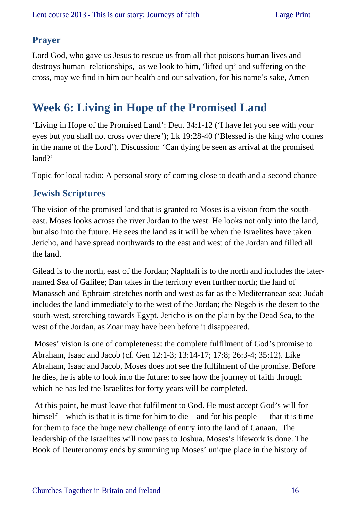### **Prayer**

Lord God, who gave us Jesus to rescue us from all that poisons human lives and destroys human relationships, as we look to him, 'lifted up' and suffering on the cross, may we find in him our health and our salvation, for his name's sake, Amen

### **Week 6: Living in Hope of the Promised Land**

'Living in Hope of the Promised Land': Deut 34:1-12 ('I have let you see with your eyes but you shall not cross over there'); Lk 19:28-40 ('Blessed is the king who comes in the name of the Lord'). Discussion: 'Can dying be seen as arrival at the promised land?'

Topic for local radio: A personal story of coming close to death and a second chance

### **Jewish Scriptures**

The vision of the promised land that is granted to Moses is a vision from the southeast. Moses looks across the river Jordan to the west. He looks not only into the land, but also into the future. He sees the land as it will be when the Israelites have taken Jericho, and have spread northwards to the east and west of the Jordan and filled all the land.

Gilead is to the north, east of the Jordan; Naphtali is to the north and includes the laternamed Sea of Galilee; Dan takes in the territory even further north; the land of Manasseh and Ephraim stretches north and west as far as the Mediterranean sea; Judah includes the land immediately to the west of the Jordan; the Negeb is the desert to the south-west, stretching towards Egypt. Jericho is on the plain by the Dead Sea, to the west of the Jordan, as Zoar may have been before it disappeared.

 Moses' vision is one of completeness: the complete fulfilment of God's promise to Abraham, Isaac and Jacob (cf. Gen 12:1-3; 13:14-17; 17:8; 26:3-4; 35:12). Like Abraham, Isaac and Jacob, Moses does not see the fulfilment of the promise. Before he dies, he is able to look into the future: to see how the journey of faith through which he has led the Israelites for forty years will be completed.

 At this point, he must leave that fulfilment to God. He must accept God's will for himself – which is that it is time for him to die – and for his people – that it is time for them to face the huge new challenge of entry into the land of Canaan. The leadership of the Israelites will now pass to Joshua. Moses's lifework is done. The Book of Deuteronomy ends by summing up Moses' unique place in the history of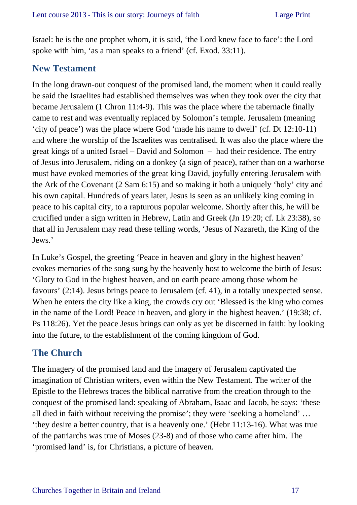Israel: he is the one prophet whom, it is said, 'the Lord knew face to face': the Lord spoke with him, 'as a man speaks to a friend' (cf. Exod. 33:11).

### **New Testament**

In the long drawn-out conquest of the promised land, the moment when it could really be said the Israelites had established themselves was when they took over the city that became Jerusalem (1 Chron 11:4-9). This was the place where the tabernacle finally came to rest and was eventually replaced by Solomon's temple. Jerusalem (meaning 'city of peace') was the place where God 'made his name to dwell' (cf. Dt 12:10-11) and where the worship of the Israelites was centralised. It was also the place where the great kings of a united Israel – David and Solomon – had their residence. The entry of Jesus into Jerusalem, riding on a donkey (a sign of peace), rather than on a warhorse must have evoked memories of the great king David, joyfully entering Jerusalem with the Ark of the Covenant (2 Sam 6:15) and so making it both a uniquely 'holy' city and his own capital. Hundreds of years later, Jesus is seen as an unlikely king coming in peace to his capital city, to a rapturous popular welcome. Shortly after this, he will be crucified under a sign written in Hebrew, Latin and Greek (Jn 19:20; cf. Lk 23:38), so that all in Jerusalem may read these telling words, 'Jesus of Nazareth, the King of the Jews.'

In Luke's Gospel, the greeting 'Peace in heaven and glory in the highest heaven' evokes memories of the song sung by the heavenly host to welcome the birth of Jesus: 'Glory to God in the highest heaven, and on earth peace among those whom he favours' (2:14). Jesus brings peace to Jerusalem (cf. 41), in a totally unexpected sense. When he enters the city like a king, the crowds cry out 'Blessed is the king who comes in the name of the Lord! Peace in heaven, and glory in the highest heaven.' (19:38; cf. Ps 118:26). Yet the peace Jesus brings can only as yet be discerned in faith: by looking into the future, to the establishment of the coming kingdom of God.

### **The Church**

The imagery of the promised land and the imagery of Jerusalem captivated the imagination of Christian writers, even within the New Testament. The writer of the Epistle to the Hebrews traces the biblical narrative from the creation through to the conquest of the promised land: speaking of Abraham, Isaac and Jacob, he says: 'these all died in faith without receiving the promise'; they were 'seeking a homeland' … 'they desire a better country, that is a heavenly one.' (Hebr 11:13-16). What was true of the patriarchs was true of Moses (23-8) and of those who came after him. The 'promised land' is, for Christians, a picture of heaven.